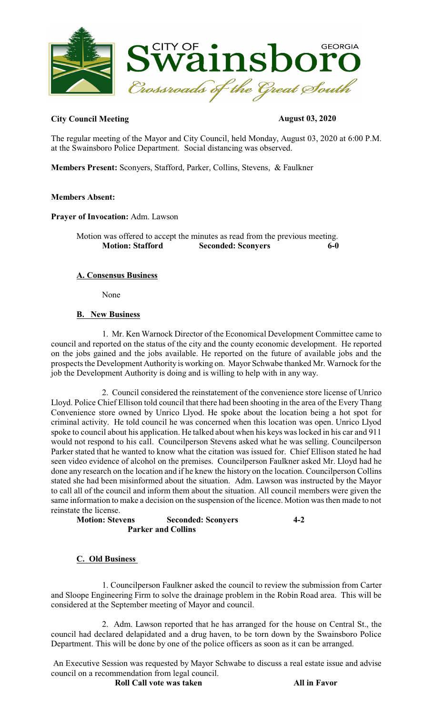

#### **City Council Meeting August 03, 2020**

The regular meeting of the Mayor and City Council, held Monday, August 03, 2020 at 6:00 P.M. at the Swainsboro Police Department. Social distancing was observed.

**Members Present:** Sconyers, Stafford, Parker, Collins, Stevens, & Faulkner

#### **Members Absent:**

**Prayer of Invocation:** Adm. Lawson

Motion was offered to accept the minutes as read from the previous meeting. **Motion: Stafford Seconded: Sconyers 6-0** 

## **A. Consensus Business**

None

## **B. New Business**

1. Mr. Ken Warnock Director of the Economical Development Committee came to council and reported on the status of the city and the county economic development. He reported on the jobs gained and the jobs available. He reported on the future of available jobs and the prospects the Development Authority is working on. Mayor Schwabe thanked Mr. Warnock for the job the Development Authority is doing and is willing to help with in any way.

2. Council considered the reinstatement of the convenience store license of Unrico Lloyd. Police Chief Ellison told council that there had been shooting in the area of the Every Thang Convenience store owned by Unrico Llyod. He spoke about the location being a hot spot for criminal activity. He told council he was concerned when this location was open. Unrico Llyod spoke to council about his application. He talked about when his keys was locked in his car and 911 would not respond to his call. Councilperson Stevens asked what he was selling. Councilperson Parker stated that he wanted to know what the citation was issued for. Chief Ellison stated he had seen video evidence of alcohol on the premises. Councilperson Faulkner asked Mr. Lloyd had he done any research on the location and if he knew the history on the location. Councilperson Collins stated she had been misinformed about the situation. Adm. Lawson was instructed by the Mayor to call all of the council and inform them about the situation. All council members were given the same information to make a decision on the suspension of the licence. Motion wasthen made to not reinstate the license.

**Motion: Stevens Seconded: Sconyers 4-2 Parker and Collins**

# **C. Old Business**

1. Councilperson Faulkner asked the council to review the submission from Carter and Sloope Engineering Firm to solve the drainage problem in the Robin Road area. This will be considered at the September meeting of Mayor and council.

2. Adm. Lawson reported that he has arranged for the house on Central St., the council had declared delapidated and a drug haven, to be torn down by the Swainsboro Police Department. This will be done by one of the police officers as soon as it can be arranged.

 An Executive Session was requested by Mayor Schwabe to discuss a real estate issue and advise council on a recommendation from legal council.

**Roll Call vote was taken** All in Favor